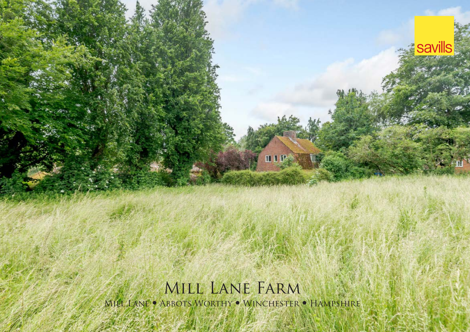Mill Lane Farm MILL LANE • ABBOTS WORTHY • WINCHESTER • HAMPSHIRE

mun:

**Savills**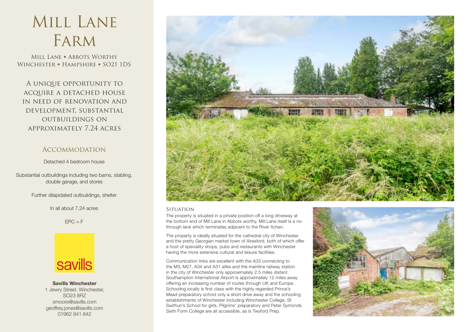## Mill Lane Farm

MILL LANE • ABBOTS WORTHY WINCHESTER • HAMPSHIRE • SO21 1DS

A unique opportunity to acquire a detached house in need of renovation and development, substantial outbuildings on approximately 7.24 acres

### Accommodation

Detached 4 bedroom house

Substantial outbuildings including two barns, stabling, double garage, and stores

Further dilapidated outbuildings, shelter

In all about 7.24 acres

 $EPC = F$ 



**SaviIls Winchester** 1 Jewry Street, Winchester, SO23 8RZ smoore@savills.com geoffrey.jones@savills.com 01962 841 842



#### **Situation**

The property is situated in a private position off a long driveway at the bottom end of Mill Lane in Abbots worthy. Mill Lane itself is a nothrough lane which terminates adjacent to the River Itchen.

The property is ideally situated for the cathedral city of Winchester and the pretty Georgian market town of Alresford, both of which offer a host of speciality shops, pubs and restaurants with Winchester having the more extensive cultural and leisure facilities.

Communication links are excellent with the A33 connecting to the M3, M27, A34 and A31 alike and the mainline railway station in the city of Winchester only approximately 2.5 miles distant. Southampton International Airport is approximately 12 miles away offering an increasing number of routes through UK and Europe. Schooling locally is first class with the highly regarded Prince's Mead preparatory school only a short drive away and the schooling establishments of Winchester including Winchester College, St Swithun's School for girls, Pilgrims' preparatory and Peter Symonds Sixth Form College are all accessible, as is Twyford Prep.

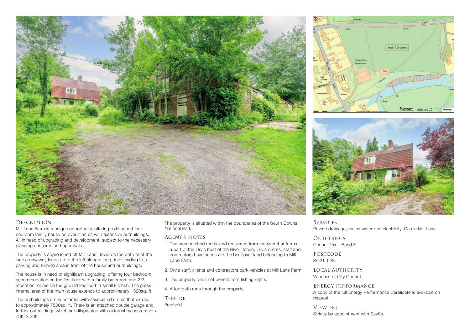

# Area: 7.24 acres Worthy Park **Home Plans Ordnance Survey** © Crown Copyright 2021. All Rights Reserved. Plotted Scale - **1:1250**. Paper Size - **A4**



#### **DESCRIPTION**

Mill Lane Farm is a unique opportunity, offering a detached four bedroom family house on over 7 acres with extensive outbuildings. All in need of upgrading and development, subject to the necessary planning consents and approvals.

The property is approached off Mill Lane. Towards the bottom of the lane a driveway leads up to the left along a long drive leading to a parking and turning area in front of the house and outbuildings.

The house is in need of significant upgrading, offering four bedroom accommodation on the first floor with a family bathroom and 2/3 reception rooms on the ground floor with a small kitchen. The gross internal area of the main house extends to approximately 1320sq. ft.

The outbuildings are substantial with associated stores that extend to approximately 7500sq. ft. There is an attached double garage and further outbuildings which are dilapidated with external measurements 73ft. x 30ft.

The property is situated within the boundaries of the South Downs National Park.

#### Agent's Notes

- 1. The area hatched red is land reclaimed from the river that forms a part of the Orvis beat of the River Itchen, Orvis clients, staff and contractors have access to the beat over land belonging to Mill Lane Farm.
- 2. Orvis staff, clients and contractors park vehicles at Mill Lane Farm.
- 3. The property does not benefit from fishing rights.
- 4. A footpath runs through the property.

**TENURE** Freehold.

**SERVICES** Private drainage, mains water and electricity. Gas in Mill Lane.

**OUTGOINGS** Council Tax – Band F.

POSTCODE SO21 1DS

Local Authority Winchester City Council.

ENERGY PERFORMANCE A copy of the full Energy Performance Certificate is available on request.

Viewing Strictly by appointment with Savills.